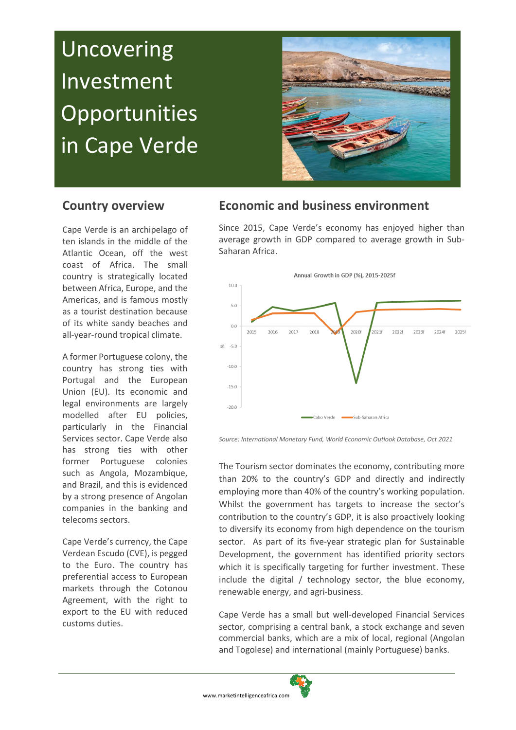# **Uncovering** Investment **Opportunities** in Cape Verde



## **Country overview**

Cape Verde is an archipelago of ten islands in the middle of the Atlantic Ocean, off the west coast of Africa. The small country is strategically located between Africa, Europe, and the Americas, and is famous mostly as a tourist destination because of its white sandy beaches and all-year-round tropical climate.

A former Portuguese colony, the country has strong ties with Portugal and the European Union (EU). Its economic and legal environments are largely modelled after EU policies, particularly in the Financial Services sector. Cape Verde also has strong ties with other former Portuguese colonies such as Angola, Mozambique, and Brazil, and this is evidenced by a strong presence of Angolan companies in the banking and telecoms sectors.

Cape Verde's currency, the Cape Verdean Escudo (CVE), is pegged to the Euro. The country has preferential access to European markets through the Cotonou Agreement, with the right to export to the EU with reduced customs duties.

# **Economic and business environment**

Since 2015, Cape Verde's economy has enjoyed higher than average growth in GDP compared to average growth in Sub-Saharan Africa.



*Source: International Monetary Fund, World Economic Outlook Database, Oct 2021*

The Tourism sector dominates the economy, contributing more than 20% to the country's GDP and directly and indirectly employing more than 40% of the country's working population. Whilst the government has targets to increase the sector's contribution to the country's GDP, it is also proactively looking to diversify its economy from high dependence on the tourism sector. As part of its five-year strategic plan for Sustainable Development, the government has identified priority sectors which it is specifically targeting for further investment. These include the digital / technology sector, the blue economy, renewable energy, and agri-business.

Cape Verde has a small but well-developed Financial Services sector, comprising a central bank, a stock exchange and seven commercial banks, which are a mix of local, regional (Angolan and Togolese) and international (mainly Portuguese) banks.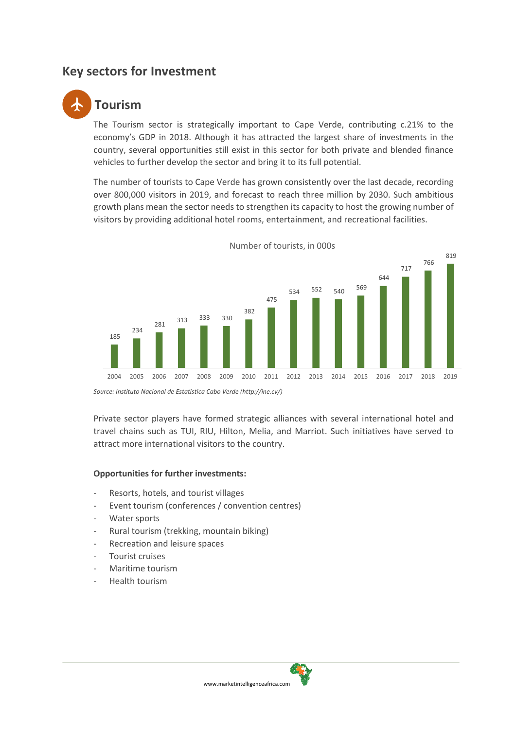# **Key sectors for Investment**

# **Tourism**

The Tourism sector is strategically important to Cape Verde, contributing c.21% to the economy's GDP in 2018. Although it has attracted the largest share of investments in the country, several opportunities still exist in this sector for both private and blended finance vehicles to further develop the sector and bring it to its full potential.

The number of tourists to Cape Verde has grown consistently over the last decade, recording over 800,000 visitors in 2019, and forecast to reach three million by 2030. Such ambitious growth plans mean the sector needs to strengthen its capacity to host the growing number of visitors by providing additional hotel rooms, entertainment, and recreational facilities.



Number of tourists, in 000s

Private sector players have formed strategic alliances with several international hotel and travel chains such as TUI, RIU, Hilton, Melia, and Marriot. Such initiatives have served to attract more international visitors to the country.

#### **Opportunities for further investments:**

- Resorts, hotels, and tourist villages
- Event tourism (conferences / convention centres)
- Water sports
- Rural tourism (trekking, mountain biking)
- Recreation and leisure spaces
- Tourist cruises
- Maritime tourism
- Health tourism



*Source: Instituto Nacional de Estatistica Cabo Verde [\(http://ine.cv/\)](http://ine.cv/)*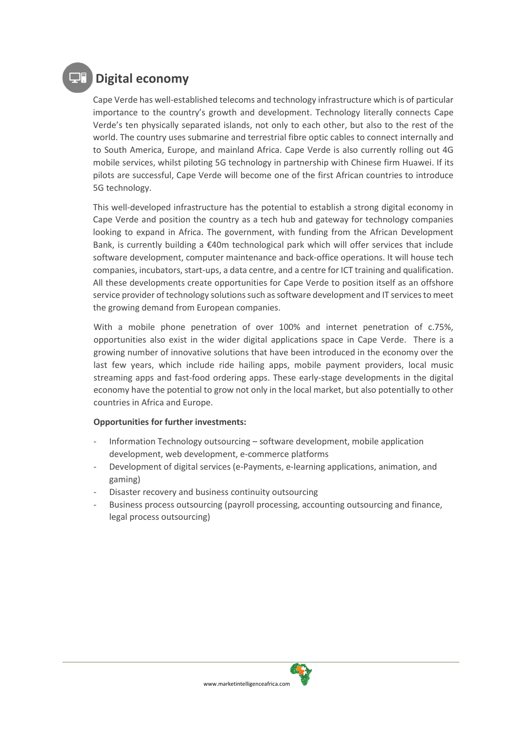# **Digital economy**

Cape Verde has well-established telecoms and technology infrastructure which is of particular importance to the country's growth and development. Technology literally connects Cape Verde's ten physically separated islands, not only to each other, but also to the rest of the world. The country uses submarine and terrestrial fibre optic cables to connect internally and to South America, Europe, and mainland Africa. Cape Verde is also currently rolling out 4G mobile services, whilst piloting 5G technology in partnership with Chinese firm Huawei. If its pilots are successful, Cape Verde will become one of the first African countries to introduce 5G technology.

This well-developed infrastructure has the potential to establish a strong digital economy in Cape Verde and position the country as a tech hub and gateway for technology companies looking to expand in Africa. The government, with funding from the African Development Bank, is currently building a  $\epsilon$ 40m technological park which will offer services that include software development, computer maintenance and back-office operations. It will house tech companies, incubators, start-ups, a data centre, and a centre for ICT training and qualification. All these developments create opportunities for Cape Verde to position itself as an offshore service provider of technology solutions such as software development and IT services to meet the growing demand from European companies.

With a mobile phone penetration of over 100% and internet penetration of c.75%, opportunities also exist in the wider digital applications space in Cape Verde. There is a growing number of innovative solutions that have been introduced in the economy over the last few years, which include ride hailing apps, mobile payment providers, local music streaming apps and fast-food ordering apps. These early-stage developments in the digital economy have the potential to grow not only in the local market, but also potentially to other countries in Africa and Europe.

#### **Opportunities for further investments:**

- Information Technology outsourcing software development, mobile application development, web development, e-commerce platforms
- Development of digital services (e-Payments, e-learning applications, animation, and gaming)
- Disaster recovery and business continuity outsourcing
- Business process outsourcing (payroll processing, accounting outsourcing and finance, legal process outsourcing)

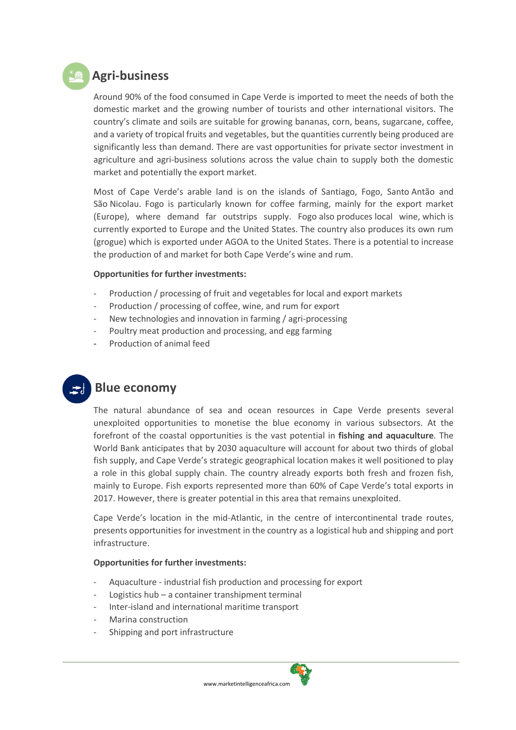

Around 90% of the food consumed in Cape Verde is imported to meet the needs of both the domestic market and the growing number of tourists and other international visitors. The country's climate and soils are suitable for growing bananas, corn, beans, sugarcane, coffee, and a variety of tropical fruits and vegetables, but the quantities currently being produced are significantly less than demand. There are vast opportunities for private sector investment in agriculture and agri-business solutions across the value chain to supply both the domestic market and potentially the export market.

Most of Cape Verde's arable land is on the islands of Santiago, Fogo, Santo Antão and São Nicolau. Fogo is particularly known for coffee farming, mainly for the export market (Europe), where demand far outstrips supply. Fogo also produces local wine, which is currently exported to Europe and the United States. The country also produces its own rum (grogue) which is exported under AGOA to the United States. There is a potential to increase the production of and market for both Cape Verde's wine and rum.

#### **Opportunities for further investments:**

- Production / processing of fruit and vegetables for local and export markets
- Production / processing of coffee, wine, and rum for export
- New technologies and innovation in farming / agri-processing
- Poultry meat production and processing, and egg farming
- Production of animal feed



## **Blue economy**

The natural abundance of sea and ocean resources in Cape Verde presents several unexploited opportunities to monetise the blue economy in various subsectors. At the forefront of the coastal opportunities is the vast potential in **fishing and aquaculture**. The World Bank anticipates that by 2030 aquaculture will account for about two thirds of global fish supply, and Cape Verde's strategic geographical location makes it well positioned to play a role in this global supply chain. The country already exports both fresh and frozen fish, mainly to Europe. Fish exports represented more than 60% of Cape Verde's total exports in 2017. However, there is greater potential in this area that remains unexploited.

Cape Verde's location in the mid-Atlantic, in the centre of intercontinental trade routes, presents opportunities for investment in the country as a logistical hub and shipping and port infrastructure.

#### **Opportunities for further investments:**

- Aquaculture industrial fish production and processing for export
- Logistics hub a container transhipment terminal
- Inter-island and international maritime transport
- Marina construction
- Shipping and port infrastructure